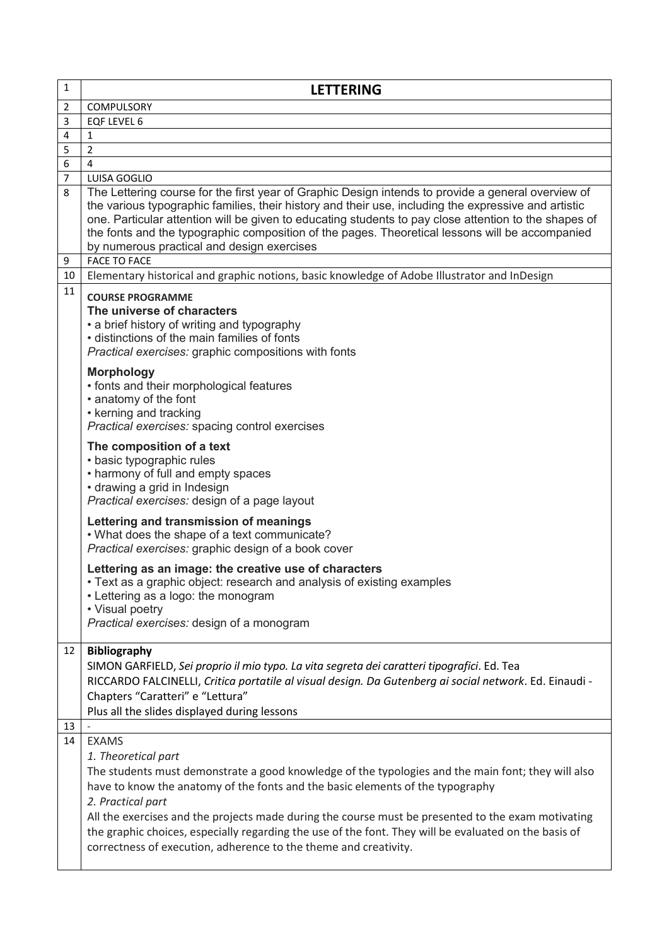| $\mathbf{1}$   | <b>LETTERING</b>                                                                                                                                                                                                                                                                                                                                                                                                                                                                                                                                                                                                                                                                                                                                                                                                                                                                                                                                              |
|----------------|---------------------------------------------------------------------------------------------------------------------------------------------------------------------------------------------------------------------------------------------------------------------------------------------------------------------------------------------------------------------------------------------------------------------------------------------------------------------------------------------------------------------------------------------------------------------------------------------------------------------------------------------------------------------------------------------------------------------------------------------------------------------------------------------------------------------------------------------------------------------------------------------------------------------------------------------------------------|
| $\overline{2}$ | <b>COMPULSORY</b>                                                                                                                                                                                                                                                                                                                                                                                                                                                                                                                                                                                                                                                                                                                                                                                                                                                                                                                                             |
| 3              | EQF LEVEL 6                                                                                                                                                                                                                                                                                                                                                                                                                                                                                                                                                                                                                                                                                                                                                                                                                                                                                                                                                   |
| 4              | 1                                                                                                                                                                                                                                                                                                                                                                                                                                                                                                                                                                                                                                                                                                                                                                                                                                                                                                                                                             |
| 5              | $\overline{2}$                                                                                                                                                                                                                                                                                                                                                                                                                                                                                                                                                                                                                                                                                                                                                                                                                                                                                                                                                |
| 6              | 4                                                                                                                                                                                                                                                                                                                                                                                                                                                                                                                                                                                                                                                                                                                                                                                                                                                                                                                                                             |
| $\overline{7}$ | LUISA GOGLIO                                                                                                                                                                                                                                                                                                                                                                                                                                                                                                                                                                                                                                                                                                                                                                                                                                                                                                                                                  |
| 8<br>9         | The Lettering course for the first year of Graphic Design intends to provide a general overview of<br>the various typographic families, their history and their use, including the expressive and artistic<br>one. Particular attention will be given to educating students to pay close attention to the shapes of<br>the fonts and the typographic composition of the pages. Theoretical lessons will be accompanied<br>by numerous practical and design exercises<br><b>FACE TO FACE</b>                                                                                                                                                                                                                                                                                                                                                                                                                                                                   |
| 10             | Elementary historical and graphic notions, basic knowledge of Adobe Illustrator and InDesign                                                                                                                                                                                                                                                                                                                                                                                                                                                                                                                                                                                                                                                                                                                                                                                                                                                                  |
| 11             | <b>COURSE PROGRAMME</b><br>The universe of characters<br>• a brief history of writing and typography<br>• distinctions of the main families of fonts<br>Practical exercises: graphic compositions with fonts<br><b>Morphology</b><br>• fonts and their morphological features<br>• anatomy of the font<br>• kerning and tracking<br>Practical exercises: spacing control exercises<br>The composition of a text<br>• basic typographic rules<br>• harmony of full and empty spaces<br>• drawing a grid in Indesign<br>Practical exercises: design of a page layout<br>Lettering and transmission of meanings<br>. What does the shape of a text communicate?<br>Practical exercises: graphic design of a book cover<br>Lettering as an image: the creative use of characters<br>· Text as a graphic object: research and analysis of existing examples<br>• Lettering as a logo: the monogram<br>• Visual poetry<br>Practical exercises: design of a monogram |
| 12             | <b>Bibliography</b><br>SIMON GARFIELD, Sei proprio il mio typo. La vita segreta dei caratteri tipografici. Ed. Tea<br>RICCARDO FALCINELLI, Critica portatile al visual design. Da Gutenberg ai social network. Ed. Einaudi -<br>Chapters "Caratteri" e "Lettura"<br>Plus all the slides displayed during lessons                                                                                                                                                                                                                                                                                                                                                                                                                                                                                                                                                                                                                                              |
| 13             |                                                                                                                                                                                                                                                                                                                                                                                                                                                                                                                                                                                                                                                                                                                                                                                                                                                                                                                                                               |
| 14             | <b>EXAMS</b><br>1. Theoretical part<br>The students must demonstrate a good knowledge of the typologies and the main font; they will also<br>have to know the anatomy of the fonts and the basic elements of the typography<br>2. Practical part<br>All the exercises and the projects made during the course must be presented to the exam motivating<br>the graphic choices, especially regarding the use of the font. They will be evaluated on the basis of<br>correctness of execution, adherence to the theme and creativity.                                                                                                                                                                                                                                                                                                                                                                                                                           |